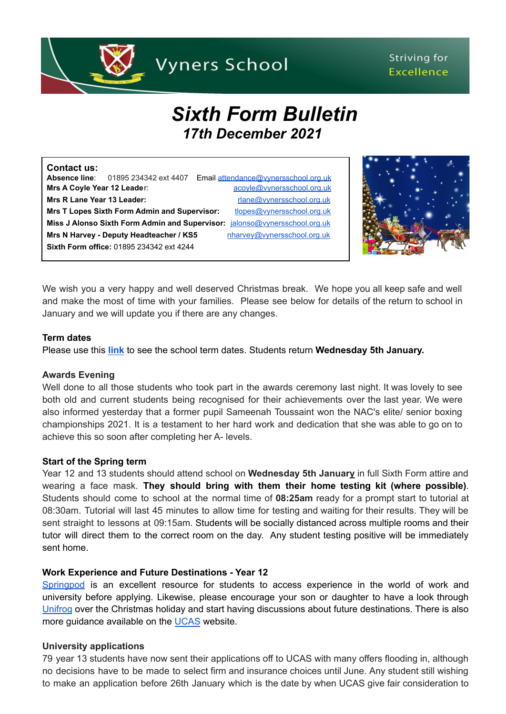

# *Sixth Form Bulletin 17th December 2021*

| Contact us:                 |                                                     |                                      |
|-----------------------------|-----------------------------------------------------|--------------------------------------|
|                             | <b>Absence line:</b> 01895 234342 ext 4407          | Email attendance@vvnersschool.org.uk |
| Mrs A Coyle Year 12 Leader: |                                                     | acoyle@vynersschool.org.uk           |
| Mrs R Lane Year 13 Leader:  |                                                     | rlane@vynersschool.org.uk            |
|                             | <b>Mrs T Lopes Sixth Form Admin and Supervisor:</b> | tlopes@vynersschool.org.uk           |
|                             | Miss J Alonso Sixth Form Admin and Supervisor:      | jalonso@vynersschool.org.uk          |
|                             | Mrs N Harvey - Deputy Headteacher / KS5             | nharvey@vynersschool.org.uk          |
|                             | Sixth Form office: 01895 234342 ext 4244            |                                      |



We wish you a very happy and well deserved Christmas break. We hope you all keep safe and well and make the most of time with your families. Please see below for details of the return to school in January and we will update you if there are any changes.

#### **Term dates**

Please use this **[link](https://www.vynersschool.org.uk/page/?title=Term+Dates&pid=79)** to see the school term dates. Students return **Wednesday 5th January.**

### **Awards Evening**

Well done to all those students who took part in the awards ceremony last night. It was lovely to see both old and current students being recognised for their achievements over the last year. We were also informed yesterday that a former pupil Sameenah Toussaint won the NAC's elite/ senior boxing championships 2021. It is a testament to her hard work and dedication that she was able to go on to achieve this so soon after completing her A- levels.

### **Start of the Spring term**

Year 12 and 13 students should attend school on **Wednesday 5th January** in full Sixth Form attire and wearing a face mask. **They should bring with them their home testing kit (where possible)**. Students should come to school at the normal time of **08:25am** ready for a prompt start to tutorial at 08:30am. Tutorial will last 45 minutes to allow time for testing and waiting for their results. They will be sent straight to lessons at 09:15am. Students will be socially distanced across multiple rooms and their tutor will direct them to the correct room on the day. Any student testing positive will be immediately sent home.

### **Work Experience and Future Destinations - Year 12**

[Springpod](https://www.springpod.com/) is an excellent resource for students to access experience in the world of work and university before applying. Likewise, please encourage your son or daughter to have a look through [Unifrog](https://www.unifrog.org/) over the Christmas holiday and start having discussions about future destinations. There is also more guidance available on the [UCAS](https://www.ucas.com/) website.

### **University applications**

79 year 13 students have now sent their applications off to UCAS with many offers flooding in, although no decisions have to be made to select firm and insurance choices until June. Any student still wishing to make an application before 26th January which is the date by when UCAS give fair consideration to